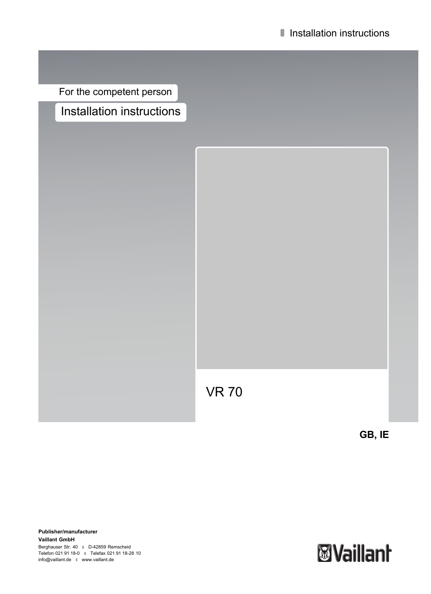For the competent person Installation instructions

VR 70

**GB, IE**

**Publisher/manufacturer Vaillant GmbH** Berghauser Str. 40 **D-42859 Remscheid** Telefon 021 91 18-0 **■** Telefax 021 91 18-28 10 info@vaillant.de www.vaillant.de

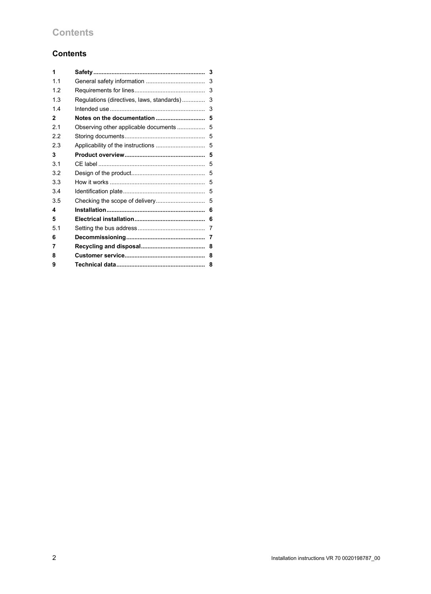# **Contents**

| 1            |                                           | 3 |
|--------------|-------------------------------------------|---|
| 1.1          |                                           | 3 |
| 1.2          |                                           | 3 |
| 1.3          | Regulations (directives, laws, standards) | 3 |
| 1.4          |                                           | 3 |
| $\mathbf{2}$ | Notes on the documentation                | 5 |
| 2.1          | Observing other applicable documents      | 5 |
| 2.2          |                                           | 5 |
| 2.3          |                                           | 5 |
| 3            |                                           | 5 |
| 3.1          |                                           | 5 |
| 3.2          |                                           | 5 |
| 3.3          |                                           | 5 |
| 3.4          |                                           | 5 |
| 3.5          |                                           | 5 |
| 4            |                                           | 6 |
| 5            |                                           | 6 |
| 5.1          |                                           | 7 |
| 6            |                                           | 7 |
| 7            |                                           | 8 |
| 8            |                                           | 8 |
| 9            |                                           | 8 |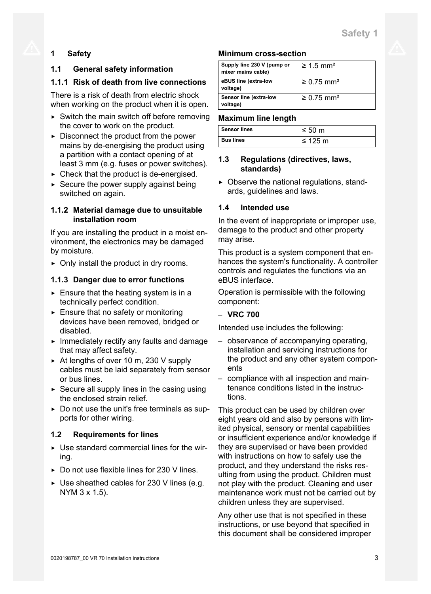# **1 Safety**

# **1.1 General safety information**

# **1.1.1 Risk of death from live connections**

There is a risk of death from electric shock when working on the product when it is open.

- $\triangleright$  Switch the main switch off before removing the cover to work on the product.
- $\triangleright$  Disconnect the product from the power mains by de-energising the product using a partition with a contact opening of at least 3 mm (e.g. fuses or power switches).
- $\triangleright$  Check that the product is de-energised.
- $\triangleright$  Secure the power supply against being switched on again.

# **1.1.2 Material damage due to unsuitable installation room**

If you are installing the product in a moist environment, the electronics may be damaged by moisture.

 $\triangleright$  Only install the product in dry rooms.

# **1.1.3 Danger due to error functions**

- $\triangleright$  Ensure that the heating system is in a technically perfect condition.
- $\blacktriangleright$  Ensure that no safety or monitoring devices have been removed, bridged or disabled.
- $\blacktriangleright$  Immediately rectify any faults and damage that may affect safety.
- ▶ At lengths of over 10 m, 230 V supply cables must be laid separately from sensor or bus lines.
- $\triangleright$  Secure all supply lines in the casing using the enclosed strain relief.
- ▶ Do not use the unit's free terminals as supports for other wiring.

# **1.2 Requirements for lines**

- $\triangleright$  Use standard commercial lines for the wiring.
- $\triangleright$  Do not use flexible lines for 230 V lines.
- $\triangleright$  Use sheathed cables for 230 V lines (e.g. NYM 3 x 1.5).

## **Minimum cross-section**

| Supply line 230 V (pump or<br>mixer mains cable) | $\geq 1.5$ mm <sup>2</sup>  |
|--------------------------------------------------|-----------------------------|
| eBUS line (extra-low<br>voltage)                 | $\geq 0.75$ mm <sup>2</sup> |
| Sensor line (extra-low<br>voltage)               | $\geq 0.75$ mm <sup>2</sup> |

## **Maximum line length**

| <b>Sensor lines</b> | $\leq 50 \text{ m}$ |
|---------------------|---------------------|
| <b>Bus lines</b>    | ≤ 125 m             |

## **1.3 Regulations (directives, laws, standards)**

 $\triangleright$  Observe the national regulations, standards, guidelines and laws.

# **1.4 Intended use**

In the event of inappropriate or improper use, damage to the product and other property may arise.

This product is a system component that enhances the system's functionality. A controller controls and regulates the functions via an eBUS interface.

Operation is permissible with the following component:

## – **VRC 700**

Intended use includes the following:

- observance of accompanying operating, installation and servicing instructions for the product and any other system components
- compliance with all inspection and maintenance conditions listed in the instructions.

This product can be used by children over eight years old and also by persons with limited physical, sensory or mental capabilities or insufficient experience and/or knowledge if they are supervised or have been provided with instructions on how to safely use the product, and they understand the risks resulting from using the product. Children must not play with the product. Cleaning and user maintenance work must not be carried out by children unless they are supervised.

Any other use that is not specified in these instructions, or use beyond that specified in this document shall be considered improper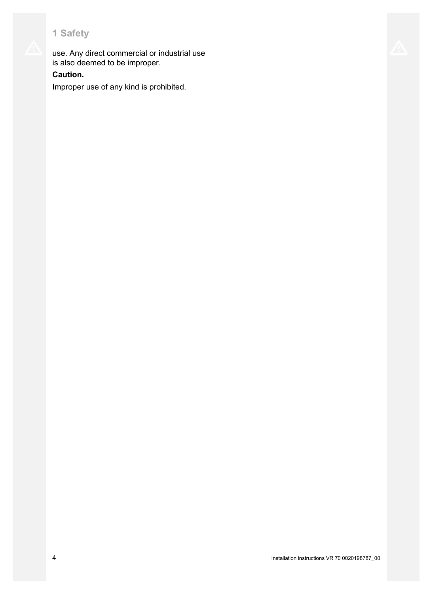use. Any direct commercial or industrial use is also deemed to be improper.

# **Caution.**

Improper use of any kind is prohibited.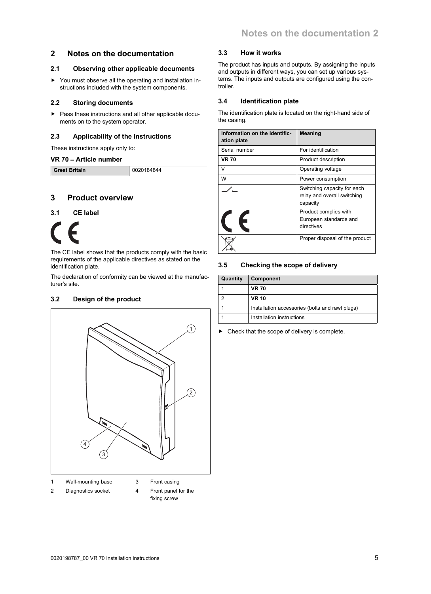### **2 Notes on the documentation**

#### **2.1 Observing other applicable documents**

▶ You must observe all the operating and installation instructions included with the system components.

#### **2.2 Storing documents**

▶ Pass these instructions and all other applicable documents on to the system operator.

#### **2.3 Applicability of the instructions**

These instructions apply only to:

#### **VR 70** – **Article number**

| <b>Great Britain</b><br>0020184844 |
|------------------------------------|
|------------------------------------|

## **3 Product overview**

#### **3.1 CE label**

The CE label shows that the products comply with the basic requirements of the applicable directives as stated on the identification plate.

The declaration of conformity can be viewed at the manufacturer's site.

### **3.2 Design of the product**



- 
- 3 Front casing
- 2 Diagnostics socket

4 Front panel for the

fixing screw

#### **3.3 How it works**

The product has inputs and outputs. By assigning the inputs and outputs in different ways, you can set up various systems. The inputs and outputs are configured using the controller.

#### **3.4 Identification plate**

The identification plate is located on the right-hand side of the casing.

| Information on the identific-<br>ation plate | <b>Meaning</b>                                                         |  |
|----------------------------------------------|------------------------------------------------------------------------|--|
| Serial number                                | For identification                                                     |  |
| <b>VR 70</b>                                 | Product description                                                    |  |
| v                                            | Operating voltage                                                      |  |
| w                                            | Power consumption                                                      |  |
|                                              | Switching capacity for each<br>relay and overall switching<br>capacity |  |
|                                              | Product complies with<br>European standards and<br>directives          |  |
|                                              | Proper disposal of the product                                         |  |

#### **3.5 Checking the scope of delivery**

| Quantity | Component                                       |
|----------|-------------------------------------------------|
|          | <b>VR 70</b>                                    |
|          | <b>VR 10</b>                                    |
|          | Installation accessories (bolts and rawl plugs) |
|          | Installation instructions                       |

▶ Check that the scope of delivery is complete.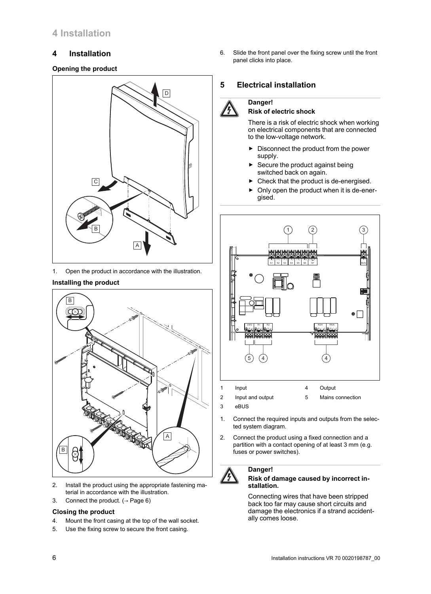# **4 Installation**

# **4 Installation**

### **Opening the product**



1. Open the product in accordance with the illustration.

### **Installing the product**



- 2. Install the product using the appropriate fastening material in accordance with the illustration.
- 3. Connect the product.  $($   $\rightarrow$  Page 6)

### **Closing the product**

- 4. Mount the front casing at the top of the wall socket.
- 5. Use the fixing screw to secure the front casing.

6. Slide the front panel over the fixing screw until the front panel clicks into place.

# **5 Electrical installation**

### **Danger!**

#### **Risk of electric shock**

There is a risk of electric shock when working on electrical components that are connected to the low-voltage network.

- ▶ Disconnect the product from the power supply.
- Secure the product against being switched back on again.
- Check that the product is de-energised.
- Only open the product when it is de-energised.



2 Input and output

5 Mains connection

3 eBUS

**Danger!**

- 1. Connect the required inputs and outputs from the selected system diagram.
- 2. Connect the product using a fixed connection and a partition with a contact opening of at least 3 mm (e.g. fuses or power switches).



#### **Risk of damage caused by incorrect installation.**

Connecting wires that have been stripped back too far may cause short circuits and damage the electronics if a strand accidentally comes loose.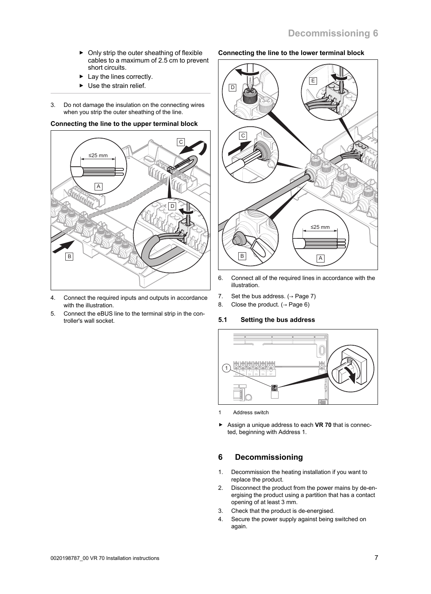- $\triangleright$  Only strip the outer sheathing of flexible cables to a maximum of 2.5 cm to prevent short circuits.
- $\blacktriangleright$  Lay the lines correctly.
- $\blacktriangleright$  Use the strain relief.
- 3. Do not damage the insulation on the connecting wires when you strip the outer sheathing of the line.

# **Connecting the line to the upper terminal block**



- 4. Connect the required inputs and outputs in accordance with the illustration.
- 5. Connect the eBUS line to the terminal strip in the controller's wall socket.

# **Connecting the line to the lower terminal block**



- 6. Connect all of the required lines in accordance with the illustration.
- 7. Set the bus address.  $(\rightarrow$  Page 7)
- 8. Close the product.  $( \rightarrow$  Page 6)

# **5.1 Setting the bus address**



- 1 Address switch
- Assign a unique address to each VR 70 that is connected, beginning with Address 1.

# **6 Decommissioning**

- 1. Decommission the heating installation if you want to replace the product.
- 2. Disconnect the product from the power mains by de-energising the product using a partition that has a contact opening of at least 3 mm.
- 3. Check that the product is de-energised.
- 4. Secure the power supply against being switched on again.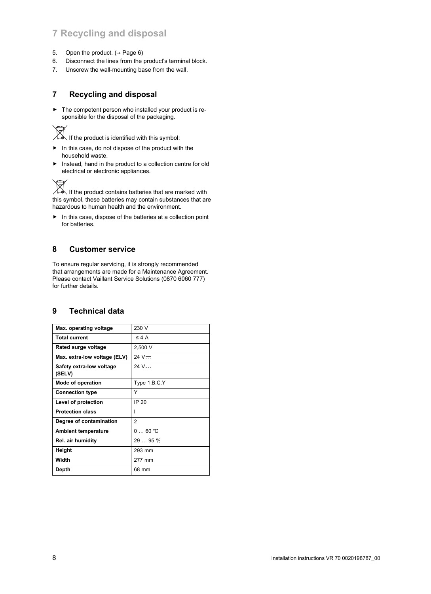# **7 Recycling and disposal**

- 5. Open the product.  $(\rightarrow$  Page 6)
- 6. Disconnect the lines from the product's terminal block.
- 7. Unscrew the wall-mounting base from the wall.

# **7 Recycling and disposal**

 $\blacktriangleright$  The competent person who installed your product is responsible for the disposal of the packaging.

If the product is identified with this symbol:

- ▶ In this case, do not dispose of the product with the household waste.
- ▶ Instead, hand in the product to a collection centre for old electrical or electronic appliances.

If the product contains batteries that are marked with this symbol, these batteries may contain substances that are hazardous to human health and the environment.

▶ In this case, dispose of the batteries at a collection point for batteries.

## **8 Customer service**

To ensure regular servicing, it is strongly recommended that arrangements are made for a Maintenance Agreement. Please contact Vaillant Service Solutions (0870 6060 777) for further details.

# **9 Technical data**

| Max. operating voltage             | 230 V        |
|------------------------------------|--------------|
| <b>Total current</b>               | $\leq 4$ A   |
| Rated surge voltage                | 2,500 V      |
| Max. extra-low voltage (ELV)       | $24 V =$     |
| Safety extra-low voltage<br>(SELV) | 24 V $=$     |
| Mode of operation                  | Type 1.B.C.Y |
| <b>Connection type</b>             | Y            |
| Level of protection                | IP 20        |
| <b>Protection class</b>            | ı            |
| Degree of contamination            | 2            |
| <b>Ambient temperature</b>         | 060 °C       |
| Rel. air humidity                  | 2995%        |
| Height                             | 293 mm       |
| Width                              | 277 mm       |
| Depth                              | 68 mm        |